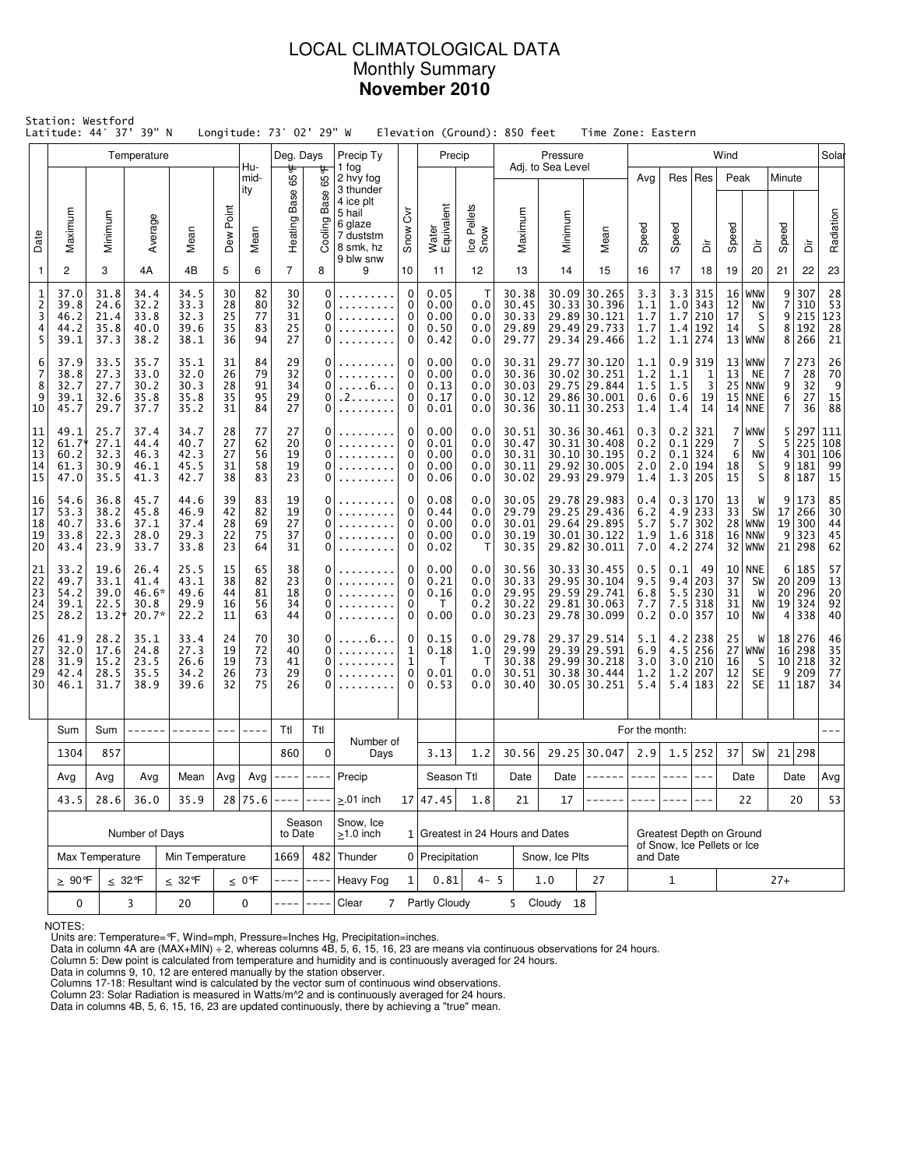### LOCAL CLIMATOLOGICAL DATA Monthly Summary **November 2010**

|                                          | Station: Westford<br>Latitude: 44° 37' 39" N<br>Longitude: 73° 02' 29" W<br>Elevation (Ground): 850 feet<br>Time Zone: Eastern<br>Temperature<br>Deg. Days<br>Precip Ty<br>Precip<br>Pressure<br>Wind<br>Hu-<br>Adj. to Sea Level |                                         |                                          |                                                                    |                            |                            |                            |                       |                                                                   |                                            |                                      |                                    |                                           |                                  |                                                                                |                                 |                                                         |                                                     |                            |                                                        |                                                 |                                               |                                                            |
|------------------------------------------|-----------------------------------------------------------------------------------------------------------------------------------------------------------------------------------------------------------------------------------|-----------------------------------------|------------------------------------------|--------------------------------------------------------------------|----------------------------|----------------------------|----------------------------|-----------------------|-------------------------------------------------------------------|--------------------------------------------|--------------------------------------|------------------------------------|-------------------------------------------|----------------------------------|--------------------------------------------------------------------------------|---------------------------------|---------------------------------------------------------|-----------------------------------------------------|----------------------------|--------------------------------------------------------|-------------------------------------------------|-----------------------------------------------|------------------------------------------------------------|
|                                          |                                                                                                                                                                                                                                   |                                         |                                          |                                                                    |                            |                            |                            |                       |                                                                   |                                            |                                      |                                    |                                           |                                  |                                                                                |                                 |                                                         |                                                     |                            |                                                        |                                                 |                                               | Solar                                                      |
|                                          |                                                                                                                                                                                                                                   |                                         |                                          |                                                                    | Point                      | mid-<br>ity                | ᡃᡛ<br>Base 65              | 65°F<br>Base          | 1 fog<br>2 hvy fog<br>3 thunder<br>4 ice plt<br>5 hail<br>6 glaze | $\breve{\delta}$                           |                                      |                                    |                                           |                                  |                                                                                | Avg                             | Res                                                     | Res                                                 | Peak                       |                                                        | Minute                                          |                                               |                                                            |
| Date                                     | Maximum                                                                                                                                                                                                                           | Minimum                                 | Average                                  | Mean                                                               | Dew                        | Mean                       | Heating                    | Cooling               | 7 duststm<br>8 smk, hz<br>9 blw snw                               | Snow                                       | Water<br>Equivalent                  | Ice Pellets<br>Snow                | Maximum                                   | Minimum                          | Mean                                                                           | Speed                           | Speed                                                   | ă                                                   | Speed                      | à                                                      | Speed                                           | ă                                             | Radiation                                                  |
| $\mathbf{1}$                             | $\overline{c}$                                                                                                                                                                                                                    | 3                                       | 4A                                       | 4B                                                                 | 5                          | 6                          | $\overline{7}$             | 8                     | 9                                                                 | 10                                         | 11                                   | 12                                 | 13                                        | 14                               | 15                                                                             | 16                              | 17                                                      | 18                                                  | 19                         | 20                                                     | 21                                              | 22                                            | 23                                                         |
| $\mathbf{1}$<br>$\overline{c}$<br>3<br>5 | 37.0<br>39.8<br>46.2<br>44.2<br>4<br>39.1                                                                                                                                                                                         | 31.8<br>24.6<br>21.4<br>35.8<br>37.3    | 34.4<br>32.2<br>33.8<br>40.0<br>38.2     | 34.5<br>33.3<br>32.3<br>39.6<br>38.1                               | 30<br>28<br>25<br>35<br>36 | 82<br>80<br>77<br>83<br>94 | 30<br>32<br>31<br>25<br>27 | 0<br>0<br>0<br>0<br>0 |                                                                   | $\mathbf 0$<br>0<br>$\mathbf 0$<br>0<br>0  | 0.05<br>0.00<br>0.00<br>0.50<br>0.42 | Т<br>0.0<br>0.0<br>0.0<br>0.0      | 30.38<br>30.45<br>30.33<br>29.89<br>29.77 |                                  | 30.09 30.265<br>30.33 30.396<br>29.89 30.121<br>29.49 29.733<br>29.34 29.466   | 3.3<br>1.1<br>1.7<br>1.7<br>1.2 | 3.3<br>1.7<br>1.4<br>1.1                                | 315<br>$1.0$ 343<br>210<br> 192<br>274              | 16<br>12<br>17<br>14       | WNW<br>NW<br>S<br>S<br>$13 $ WNW                       | 9<br>$\overline{7}$<br>9 <sup>1</sup>           | 307<br>310<br>215<br>8 192<br>8 266           | 28<br>53<br>$\begin{array}{c} 123 \\ 28 \end{array}$<br>21 |
| 6<br>7<br>8<br>9<br>10                   | 37.9<br>38.8<br>32.7<br>39.1<br>45.7                                                                                                                                                                                              | 33.5<br>27.3<br>27.7<br>32.6<br>29.7    | 35.7<br>33.0<br>30.2<br>35.8<br>37.7     | 35.1<br>32.0<br>30.3<br>35.8<br>35.2                               | 31<br>26<br>28<br>35<br>31 | 84<br>79<br>91<br>95<br>84 | 29<br>32<br>34<br>29<br>27 | 0<br>0<br>0<br>0<br>0 | $\ldots 6 \ldots$<br>. 2 .<br>1.1.1.1                             | 0<br>0<br>0<br>0<br>$\mathbf 0$            | 0.00<br>0.00<br>0.13<br>0.17<br>0.01 | 0.0<br>0.0<br>0.0<br>0.0<br>0.0    | 30.31<br>30.36<br>30.03<br>30.12<br>30.36 | 30.02                            | 29.77 30.120<br>30.251<br>29.75 29.844<br>29.86 30.001<br>30.11 30.253         | 1.1<br>1.2<br>1.5<br>0.6<br>1.4 | 0.9<br>1.1<br>1.5<br>0.6<br>1.4                         | 319<br>$\frac{1}{3}$<br>19<br>14                    | 13<br>15                   | $13 $ WNW<br><b>NE</b><br>$25$ NNW<br> NNE<br>$14$ NNE | $\overline{7}$<br>7<br>9<br>6<br>$\overline{7}$ | 273<br>28<br>$\overline{32}$<br>27<br>36      | 26<br>70<br>$\frac{9}{15}$<br>88                           |
| 11<br>12<br>13<br>14<br>15               | 49.1<br>$61.7*$<br>60.2<br>61.3<br>47.0                                                                                                                                                                                           | 25.7<br>27.1<br>32.3<br>30.9<br>35.5    | 37.4<br>44.4<br>46.3<br>46.1<br>41.3     | 34.7<br>40.7<br>42.3<br>45.5<br>42.7                               | 28<br>27<br>27<br>31<br>38 | 77<br>62<br>56<br>58<br>83 | 27<br>20<br>19<br>19<br>23 | 0<br>0<br>0<br>0<br>0 |                                                                   | 0<br>0<br>0<br>0<br>0                      | 0.00<br>0.01<br>0.00<br>0.00<br>0.06 | 0.0<br>0.0<br>0.0<br>0.0<br>0.0    | 30.51<br>30.47<br>30.31<br>30.11<br>30.02 |                                  | 30.36 30.461<br>$30.31$ 30.408<br>30.10 30.195<br>29.92 30.005<br>29.93 29.979 | 0.3<br>0.2<br>0.2<br>2.0<br>1.4 | 0.1<br>1.3                                              | $0.2$   321<br>229<br>$0.1$ 324<br>$2.0$ 194<br>205 | 7<br>7<br>6<br>18<br>15    | <b>WNW</b><br>S<br>NW<br>S<br>S                        | 5<br>5<br>4 <sup>1</sup>                        | 297<br>225<br>301<br>9 181<br>8 187           | 111<br>108<br>106<br>99<br>15                              |
| 16<br>17<br>18<br>19<br>20               | 54.6<br>53.3<br>40.7<br>33.8<br>43.4                                                                                                                                                                                              | 36.8<br>38.2<br>33.6<br>22.3<br>23.9    | 45.7<br>45.8<br>37.1<br>28.0<br>33.7     | 44.6<br>46.9<br>37.4<br>29.3<br>33.8                               | 39<br>42<br>28<br>22<br>23 | 83<br>82<br>69<br>75<br>64 | 19<br>19<br>27<br>37<br>31 | 0<br>0<br>0<br>0<br>0 |                                                                   | 0<br>0<br>0<br>0<br>0                      | 0.08<br>0.44<br>0.00<br>0.00<br>0.02 | 0.0<br>0.0<br>0.0<br>0.0<br>Т      | 30.05<br>29.79<br>30.01<br>30.19<br>30.35 |                                  | 29.78 29.983<br>29.25 29.436<br>29.64 29.895<br>30.01 30.122<br>29.82 30.011   | 0.4<br>6.2<br>5.7<br>1.9<br>7.0 | 0.3<br>5.7<br>1.6<br>4.2                                | 170<br>$4.9$   233<br>302<br>318<br>274             | 13<br>33<br>28             | W<br>SW<br><b>WNW</b><br>$16$ NNW<br>$32$ WNW          | 9                                               | 173<br>17 266<br>19 300<br>9 323<br>21 298    | 85<br>30<br>44<br>45<br>62                                 |
| 21<br>22<br>23<br>24<br>25               | 33.2<br>49.7<br>54.2<br>39.1<br>28.2                                                                                                                                                                                              | 19.6<br>33.1<br>39.0<br>22.5<br>$13.2*$ | 26.4<br>41.4<br>46.6*<br>30.8<br>$20.7*$ | 25.5<br>43.1<br>49.6<br>29.9<br>22.2                               | 15<br>38<br>44<br>16<br>11 | 65<br>82<br>81<br>56<br>63 | 38<br>23<br>18<br>34<br>44 | 0<br>0<br>0<br>0<br>0 |                                                                   | 0<br>0<br>$\mathbf 0$<br>0<br>0            | 0.00<br>0.21<br>0.16<br>T<br>0.00    | 0.0<br>0.0<br>0.0<br>0.2<br>0.0    | 30.56<br>30.33<br>29.95<br>30.22<br>30.23 |                                  | 30.33 30.455<br>29.95 30.104<br>29.59 29.741<br>29.81 30.063<br>29.78 30.099   | 0.5<br>9.5<br>6.8<br>7.7<br>0.2 | 0.1<br>9.4<br>5.5<br>7.5<br>0.0                         | 49<br>203<br>230<br>318<br>357                      | 37<br>31<br>31<br>10       | $10$ NNE<br>SW<br>W<br>NW<br>NW                        |                                                 | 6 185<br>20 209<br>20 296<br>19 324<br>4 338  | 57<br>13<br>20<br>92<br>40                                 |
| 26<br>27<br>28<br>29<br>30               | 41.9<br>32.0<br>31.9<br>42.4<br>46.1                                                                                                                                                                                              | 28.2<br>17.6<br>15.2<br>28.5<br>31.7    | 35.1<br>24.8<br>23.5<br>35.5<br>38.9     | 33.4<br>24<br>27.3<br>19<br>26.6<br>19<br>26<br>34.2<br>39.6<br>32 |                            | 70<br>72<br>73<br>73<br>75 | 30<br>40<br>41<br>29<br>26 | 0<br>0<br>0<br>0<br>0 | . 6<br>.                                                          | 0<br>$\mathbf{1}$<br>1<br>$\mathbf 0$<br>0 | 0.15<br>0.18<br>T<br>0.01<br>0.53    | 0.0<br>1.0<br>$\top$<br>0.0<br>0.0 | 29.78<br>29.99<br>30.38<br>30.51<br>30.40 |                                  | 29.37 29.514<br>29.39 29.591<br>29.99 30.218<br>30.38 30.444<br>30.05 30.251   | 5.1<br>6.9<br>3.0<br>1.2<br>5.4 | 4.2<br>1.2                                              | 238<br>$4.5$ 256<br>$3.0$ 210<br>207<br>$5.4$   183 | 25<br>27<br>16<br>12<br>22 | W<br>WNW<br>- S<br><b>SE</b><br><b>SE</b>              |                                                 | 18 276<br>16 298<br>10 218<br>9 209<br>11 187 | 46<br>35<br>32<br>77<br>34                                 |
|                                          | Sum                                                                                                                                                                                                                               | Sum                                     |                                          |                                                                    |                            |                            | Ttl                        | Ttl                   |                                                                   |                                            |                                      |                                    |                                           |                                  |                                                                                | For the month:                  |                                                         |                                                     |                            |                                                        |                                                 |                                               |                                                            |
|                                          | 1304                                                                                                                                                                                                                              | 857                                     |                                          |                                                                    |                            |                            | 860                        | 0                     | Number of<br>Days                                                 |                                            | 3.13                                 | 1.2                                | 30.56                                     |                                  | 29.25 30.047                                                                   | 2.9                             |                                                         | 1.5 252                                             | 37                         | SW                                                     |                                                 | 21 298                                        |                                                            |
|                                          | Avg                                                                                                                                                                                                                               | Avg<br>Avg<br>Mean                      |                                          | Avg                                                                | Avg                        | ---- ----                  |                            | Precip                |                                                                   | Season Ttl                                 |                                      | Date                               | Date                                      | ------                           | $- - - -$                                                                      | $- - - -$                       |                                                         |                                                     | Date                       |                                                        | Date                                            | Avg                                           |                                                            |
|                                          | 43.5                                                                                                                                                                                                                              | 28.6                                    | 36.0                                     | 35.9                                                               |                            | 28 75.6                    | $- - - - -$                | $- - - -$             | $> 01$ inch                                                       |                                            | 17 47.45                             | 1.8                                | 21                                        | 17                               |                                                                                |                                 |                                                         | $---$                                               |                            | 22                                                     |                                                 | 20                                            | 53                                                         |
|                                          |                                                                                                                                                                                                                                   |                                         | Number of Days                           |                                                                    |                            |                            | to Date                    | Season                | Snow, Ice<br>$\geq$ 1.0 inch                                      |                                            |                                      |                                    |                                           | 1 Greatest in 24 Hours and Dates |                                                                                |                                 | Greatest Depth on Ground<br>of Snow, Ice Pellets or Ice |                                                     |                            |                                                        |                                                 |                                               |                                                            |
|                                          | Max Temperature                                                                                                                                                                                                                   | Min Temperature                         |                                          |                                                                    | 1669                       |                            | 482 Thunder                |                       | 0 Precipitation                                                   |                                            |                                      | Snow, Ice Plts                     |                                           | and Date                         |                                                                                |                                 |                                                         |                                                     |                            |                                                        |                                                 |                                               |                                                            |
|                                          | $\geq 90$ °F                                                                                                                                                                                                                      | $\leq 32$ °F                            |                                          | $\leq 0$ °F                                                        |                            | $- - - -$                  | <b>Heavy Fog</b>           | 1                     | 0.81                                                              | $4 - 5$                                    |                                      | 1.0                                | 27                                        |                                  | $\mathbf{1}$                                                                   |                                 |                                                         |                                                     | $27+$                      |                                                        |                                                 |                                               |                                                            |
|                                          | 0                                                                                                                                                                                                                                 |                                         | 3                                        | $20\,$                                                             |                            | 0                          |                            |                       | $\overline{7}$<br>Clear                                           |                                            | Partly Cloudy                        |                                    |                                           | 5 Cloudy 18                      |                                                                                |                                 |                                                         |                                                     |                            |                                                        |                                                 |                                               |                                                            |

NOTES:

Units are: Temperature=°F, Wind=mph, Pressure=Inches Hg, Precipitation=inches. Data in column 4A are (MAX+MIN) ÷ 2, whereas columns 4B, 5, 6, 15, 16, 23 are means via continuous observations for 24 hours.

Column 5: Dew point is calculated from temperature and humidity and is continuously averaged for 24 hours. Data in columns 9, 10, 12 are entered manually by the station observer.

Columns 17-18: Resultant wind is calculated by the vector sum of continuous wind observations.<br>Column 23: Solar Radiation is measured in Watts/m^2 and is continuously averaged for 24 hours.<br>Data in columns 4B, 5, 6, 15, 16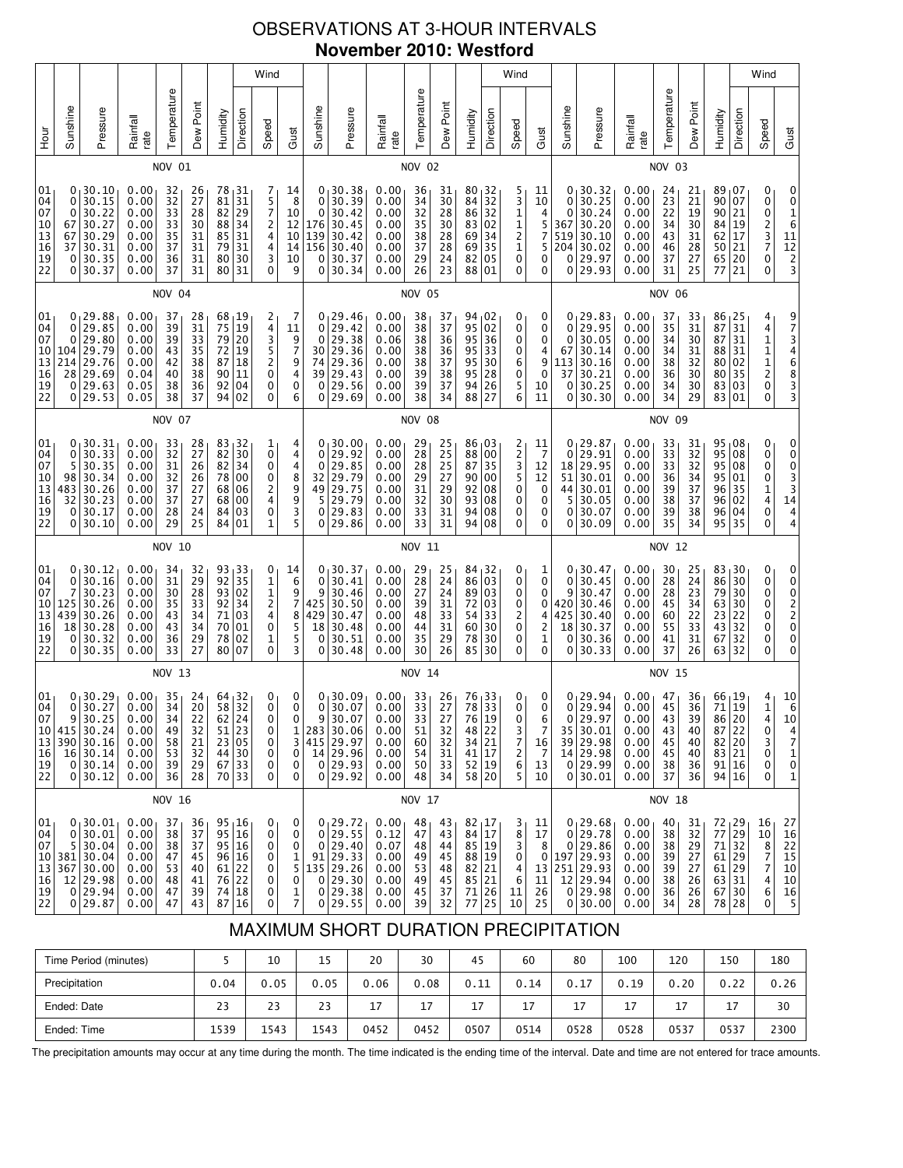# OBSERVATIONS AT 3-HOUR INTERVALS **November 2010: Westford**

|                                                           |                                           |                                                                                            |                                                                           |                                              |                                              |                                              | Wind                                                                                                           |                                                |                                             |                                                 |                                                                                                    |                                                              |                                              |                                              |                                                                                                                              | Wind                                   |                                                            |                                                      |                                            |                                                                                                  |                                                              |                                              |                                                                             |                                                           | Wind                                                                      |                                                                             |  |
|-----------------------------------------------------------|-------------------------------------------|--------------------------------------------------------------------------------------------|---------------------------------------------------------------------------|----------------------------------------------|----------------------------------------------|----------------------------------------------|----------------------------------------------------------------------------------------------------------------|------------------------------------------------|---------------------------------------------|-------------------------------------------------|----------------------------------------------------------------------------------------------------|--------------------------------------------------------------|----------------------------------------------|----------------------------------------------|------------------------------------------------------------------------------------------------------------------------------|----------------------------------------|------------------------------------------------------------|------------------------------------------------------|--------------------------------------------|--------------------------------------------------------------------------------------------------|--------------------------------------------------------------|----------------------------------------------|-----------------------------------------------------------------------------|-----------------------------------------------------------|---------------------------------------------------------------------------|-----------------------------------------------------------------------------|--|
| уон<br>Но                                                 | Sunshine                                  | Pressure                                                                                   | Rainfall<br>rate                                                          | Temperature                                  | Dew Point                                    | Humidity                                     | Direction                                                                                                      | Speed                                          | Gust                                        | Sunshine                                        | Pressure                                                                                           | Rainfall<br>rate                                             | Temperature                                  | Dew Point                                    | Humidity                                                                                                                     | Direction                              | Speed                                                      | Gust                                                 | Sunshine                                   | Pressure                                                                                         | Rainfall<br>rate                                             | Temperature                                  | Dew Point                                                                   | Humidity                                                  | Direction                                                                 | Speed                                                                       |  |
|                                                           |                                           |                                                                                            |                                                                           | NOV 01                                       |                                              |                                              |                                                                                                                |                                                |                                             |                                                 |                                                                                                    |                                                              | <b>NOV 02</b>                                |                                              |                                                                                                                              |                                        |                                                            |                                                      |                                            |                                                                                                  |                                                              | <b>NOV 03</b>                                |                                                                             |                                                           |                                                                           |                                                                             |  |
| 01<br>04<br>07<br>10<br>13<br>16<br>19<br>22              | 0<br>0<br>0<br>67<br>67<br>37<br>0<br>0   | 30.10<br>30.15<br>30.22<br>30.27<br>30.29<br>30.31<br>30.35<br>30.37                       | 0.00<br>0.00<br>0.00<br>0.00<br>0.00<br>0.00<br>0.00<br>0.00              | 32<br>32<br>33<br>33<br>35<br>37<br>36<br>37 | 26<br>27<br>28<br>30<br>31<br>31<br>31<br>31 | 78<br>81<br>82<br>88<br>85<br>79<br>80<br>80 | 31<br>31<br>29<br>34<br>31<br>31<br>30<br>31                                                                   | 7<br>5<br>7<br>$\frac{2}{4}$<br>4<br>3<br>0    | 14<br>8<br>10<br>12<br>10<br>14<br>10<br>9  | 0<br>$\mathbf 0$<br>176<br>139<br>156<br>0<br>0 | 0, 30.38<br>30.39<br>30.42<br>30.45<br> 30.42<br>30.40<br>30.37<br>30.34                           | 0.00<br>0.00<br>0.00<br>0.00<br>0.00<br>0.00<br>0.00<br>0.00 | 36<br>34<br>32<br>35<br>38<br>37<br>29<br>26 | 31<br>30<br>28<br>30<br>28<br>28<br>24<br>23 | 80, 32<br>84<br>86<br>83 02<br>69<br>69<br>82<br>88                                                                          | 32<br>32<br>34<br>35<br>  05<br>  01   | 5<br>3<br>1<br>1<br>$\overline{\mathbf{c}}$<br>1<br>0<br>0 | 11<br>10<br>4<br>5<br>7<br>5<br>0<br>0               | 0<br>0<br>0<br>367<br>519<br>204<br>0<br>0 | 30.32<br>30.25<br>30.24<br>30.20<br>30.10<br>30.02<br>29.97<br>29.93                             | 0.00<br>0.00<br>0.00<br>0.00<br>0.00<br>0.00<br>0.00<br>0.00 | 24<br>23<br>22<br>34<br>43<br>46<br>37<br>31 | 21<br>21<br>19<br>30<br>31<br>28<br>27<br>25                                | 89<br>90<br>90<br>84<br>62<br>50<br>65<br>77              | 07<br>07<br>21<br>19<br>17<br>21<br>20<br>21                              | 0<br>0<br>0<br>2<br>3<br>7<br>0<br>0                                        |  |
|                                                           |                                           |                                                                                            |                                                                           | <b>NOV 04</b>                                |                                              |                                              |                                                                                                                |                                                |                                             |                                                 |                                                                                                    |                                                              | <b>NOV 05</b>                                |                                              |                                                                                                                              |                                        |                                                            |                                                      |                                            |                                                                                                  |                                                              | <b>NOV 06</b>                                |                                                                             |                                                           |                                                                           |                                                                             |  |
| 01<br>04<br>07<br>10<br>13<br>16<br>19<br>22              | 0<br>0<br>0<br>104<br>214<br>28<br>0<br>0 | 29.88<br>29.85<br>29.80<br>29.79<br>29.76<br>29.69<br>29.63<br>29.53                       | 0.00<br>0.00<br>0.00<br>0.00<br>0.00<br>0.04<br>0.05<br>0.05              | 37<br>39<br>39<br>43<br>42<br>40<br>38<br>38 | 28<br>31<br>33<br>35<br>38<br>38<br>36<br>37 | 68<br>75<br>79<br>72<br>87<br>90<br>92<br>94 | 19 ا<br>19<br>20<br>19<br>18<br>11<br>04<br>02                                                                 | 2<br>4<br>3<br>5<br>2<br>$\mathbf 0$<br>0<br>0 | 7<br>11<br>9<br>7<br>9<br>4<br>0<br>6       | 0<br>0<br>30<br>74<br>39<br>0<br>0              | 0, 29.46<br>29.42<br>29.38<br>29.36<br>29.36<br>29.43<br>29.56<br>29.69                            | 0.00<br>0.00<br>0.06<br>0.00<br>0.00<br>0.00<br>0.00<br>0.00 | 38<br>38<br>38<br>38<br>38<br>39<br>39<br>38 | 37<br>37<br>36<br>36<br>37<br>38<br>37<br>34 | 94,02<br>95<br>95<br>95<br>95<br>95<br>94  <br>88                                                                            | 02<br>36<br>33<br>30<br>28<br>26<br>27 | 0<br>0<br>0<br>0<br>6<br>0<br>5<br>6                       | 0<br>0<br>0<br>4<br>9<br>0<br>10<br>11               | 0<br>0<br>67<br>113<br>37<br>0<br>0        | 0 <sub>1</sub> 29.83<br>29.95<br>30.05<br>30.14<br>30.16<br>30.21<br>30.25<br>30.30              | 0.00<br>0.00<br>0.00<br>0.00<br>0.00<br>0.00<br>0.00<br>0.00 | 37<br>35<br>34<br>34<br>38<br>36<br>34<br>34 | 33<br>31<br>30<br>$\frac{31}{32}$<br>30<br>30<br>29                         | 86<br>87<br>87<br>88<br>80<br>80<br>83<br>83              | 25  <br>31<br>31<br>31<br>02<br>35<br>  03<br>01                          | 4<br>$\begin{array}{c} 4 \\ 1 \\ 1 \end{array}$<br>$\frac{1}{2}$<br>0<br>0  |  |
|                                                           | <b>NOV 07</b>                             |                                                                                            |                                                                           |                                              |                                              |                                              |                                                                                                                |                                                |                                             |                                                 |                                                                                                    |                                                              | <b>NOV 08</b>                                |                                              |                                                                                                                              |                                        |                                                            |                                                      |                                            |                                                                                                  |                                                              | NOV 09                                       |                                                                             |                                                           |                                                                           |                                                                             |  |
| 01<br>04<br>07<br>10<br>13<br>16<br>19<br>22              | 0<br>0<br>5<br>98<br>483<br>32<br>0<br>0  | 30.31<br>30.33<br>30.35<br>30.34<br>30.26<br>30.23<br>30.17<br>30.10                       | 0.00<br>0.00<br>0.00<br>0.00<br>0.00<br>0.00<br>0.00<br>0.00              | 33<br>32<br>31<br>32<br>37<br>37<br>28<br>29 | 28<br>27<br>26<br>26<br>27<br>27<br>24<br>25 | 83<br>82<br>82<br>78<br>68<br>68<br>84<br>84 | 32 ا<br>30<br>34<br>00<br>06<br>00<br>03<br>01                                                                 | 1<br>0<br>0<br>0<br>2<br>4<br>0<br>1           | 4<br>4<br>4<br>8<br>9<br>$\frac{9}{3}$<br>5 | 0<br>0<br>32<br>49<br>5<br>0<br>0               | 0, 30.00<br>29.92<br>29.85<br>29.79<br>29.75<br>29.79<br>29.83<br>29.86                            | 0.00<br>0.00<br>0.00<br>0.00<br>0.00<br>0.00<br>0.00<br>0.00 | 29<br>28<br>28<br>29<br>31<br>32<br>33<br>33 | 25<br>25<br>25<br>27<br>29<br>30<br>31<br>31 | $86_{1}03$<br>88<br>87<br>90 00<br>92<br>93<br>94<br>94 08                                                                   | 00<br>35<br>  08<br>  08<br>  08       | 2<br>2<br>3<br>5<br>0<br>0<br>0<br>0                       | 11<br>$\overline{7}$<br>12<br>12<br>0<br>0<br>0<br>0 | 0<br>18<br>51  <br>44<br>5<br>0<br>0       | 0 <sub>1</sub> 29.87<br>29.91<br>29.95<br>30.01<br>30.01<br>30.05<br>30.07<br>30.09              | 0.00<br>0.00<br>0.00<br>0.00<br>0.00<br>0.00<br>0.00<br>0.00 | 33<br>33<br>33<br>36<br>39<br>38<br>39<br>35 | 31<br>32<br>$\overline{32}$<br>34<br>37<br>37<br>38<br>34                   | 95<br>95<br>95<br>96<br>96<br>96<br>95                    | $95 \, 08$<br>08<br>08<br>01<br>35<br>02<br>04<br>35                      | 0<br>0<br>0<br>0<br>$\frac{1}{4}$<br>0<br>0                                 |  |
|                                                           |                                           |                                                                                            |                                                                           | NOV 10                                       |                                              |                                              |                                                                                                                |                                                |                                             |                                                 |                                                                                                    |                                                              | NOV 11                                       |                                              |                                                                                                                              |                                        |                                                            |                                                      |                                            |                                                                                                  |                                                              | NOV 12                                       |                                                                             |                                                           |                                                                           |                                                                             |  |
| 01<br>04<br>07<br>10<br>13<br>16<br>19<br>22              | 0<br>0<br>7<br>125<br>439<br>18<br>0<br>0 | 30.12<br>30.16<br>30.23<br>30.26<br>30.26<br>30.28<br>30.32<br>30.35                       | 0.00<br>0.00<br>0.00<br>0.00<br>0.00<br>0.00<br>0.00<br>0.00              | 34<br>31<br>30<br>35<br>43<br>43<br>36<br>33 | 32<br>29<br>28<br>33<br>34<br>34<br>29<br>27 | 93<br>92<br>71<br>70<br>78<br>80             | $\begin{array}{ c c }\n 93 & 33 \\  92 & 35 \\ \end{array}$<br>02<br>34<br>03<br>01<br>02<br>07                | 0<br>1<br>1<br>2<br>4<br>$\mathbf 0$<br>1<br>0 | 14<br>6<br>9<br>7<br>8<br>5<br>5<br>3       | 0<br>0<br>9<br>425<br>429<br>18<br>0<br>0       | 30.37<br>30.41<br>30.46<br>30.50<br>30.47<br>30.48<br>30.51<br>30.48                               | 0.00<br>0.00<br>0.00<br>0.00<br>0.00<br>0.00<br>0.00<br>0.00 | 29<br>28<br>27<br>39<br>48<br>44<br>35<br>30 | 25<br>24<br>24<br>31<br>33<br>31<br>29<br>26 | 84, 32<br>86<br>89 03<br>72<br>54<br>60<br>78<br>85                                                                          | 03<br>  03<br>33<br>30<br>30<br>30     | 0<br>0<br>0<br>0<br>2<br>0<br>0<br>0                       | 1<br>0<br>0<br>0<br>4<br>2<br>1<br>0                 | 0<br>9<br>420<br>425<br>18<br>0<br>0       | 0, 30.47<br>30.45<br>30.47<br>30.46<br>30.40<br>30.37<br>30.36<br>30.33                          | 0.00<br>0.00<br>0.00<br>0.00<br>0.00<br>0.00<br>0.00<br>0.00 | 30<br>28<br>28<br>45<br>60<br>55<br>41<br>37 | 25<br>$\begin{array}{c} 24 \\ 23 \end{array}$<br>34<br>22<br>33<br>31<br>26 | 83 <sub>1</sub><br>86<br>79<br>63<br>23<br>43<br>67<br>63 | 30<br>30<br>30<br>30<br>22<br>32<br>32<br>32                              | 0<br>0<br>0<br>0<br>0<br>0<br>0<br>0                                        |  |
|                                                           | NOV 13                                    |                                                                                            |                                                                           |                                              |                                              |                                              |                                                                                                                |                                                |                                             |                                                 |                                                                                                    |                                                              | <b>NOV 14</b>                                |                                              |                                                                                                                              |                                        |                                                            |                                                      |                                            |                                                                                                  |                                                              | NOV 15                                       |                                                                             |                                                           |                                                                           |                                                                             |  |
| 01<br>04<br>07<br>10<br>13<br>16<br>19<br>22              | 0<br>0<br>$\mathsf{q}$                    | 30.29<br>30.27<br>30.25<br>  415   30.24  <br>390 30.16<br>16 30.14<br>0 30.14 <br>0 30.12 | 0.00<br>0.00<br>0.00<br>0.00<br>0.00<br>0.00<br>0.00<br>0.00              | 35<br>34<br>34<br>49<br>58<br>53<br>39<br>36 | 24<br>20<br>22<br>32<br>21<br>32<br>29<br>28 | 64<br>58                                     | $\frac{32}{32}$<br>$62$ 24<br>51 23<br>$\begin{array}{c c} 23 & 05 \\ 44 & 30 \end{array}$<br>$67$ 33<br>70 33 | 0<br>0<br>$\Omega$<br>0<br>0<br>0<br>0<br>0    | 0<br>0<br>$\Omega$<br>1<br>3<br>0<br>0<br>0 | 0                                               | 0, 30.09<br>30.07<br>9 30.07 <br>283 30.06<br>415 29.97<br>14 29.96<br>0 29.93<br>0 29.92          | 0.00<br>0.00<br>0.00<br>0.00<br>0.00<br>0.00<br>0.00<br>0.00 | 33<br>33<br>33<br>51<br>60<br>54<br>50<br>48 | 26<br>27<br>27<br>32<br>32<br>31<br>33<br>34 | $76$ <sub> </sub> 33<br>78<br>76 19<br>$\begin{array}{ c c }\n 48 & 22 \\  34 & 21\n \end{array}$<br>41 17<br>52 19<br>58 20 | 33                                     | 0<br>0<br>$\Omega$<br>3<br>7<br>2<br>6<br>5                | 0<br>0<br>6<br>7<br>16<br>$\overline{7}$<br>13<br>10 |                                            | $0 29.94$<br>0 29.94<br>$0$ 29.97<br>35 30.01<br>39 29.98<br>14 29.98<br>$0$ 29.99<br>0 30.01    | 0.00<br>0.00<br>0.00<br>0.00<br>0.00<br>0.00<br>0.00<br>0.00 | 47<br>45<br>43<br>43<br>45<br>45<br>38<br>37 | 36<br>36<br>39<br>40<br>40<br>40<br>36<br>36                                | 71                                                        | 66 19<br>19<br>86 20<br>87 22<br>$82$ 20<br>83 21<br>91 16<br>94 16       | $\frac{4}{1}$<br>4<br>0<br>3<br>0<br>0<br>0                                 |  |
|                                                           |                                           |                                                                                            |                                                                           | NOV 16                                       |                                              |                                              |                                                                                                                |                                                |                                             |                                                 |                                                                                                    |                                                              | NOV 17                                       |                                              |                                                                                                                              |                                        |                                                            |                                                      |                                            |                                                                                                  |                                                              | NOV 18                                       |                                                                             |                                                           |                                                                           |                                                                             |  |
| 01 <sub>1</sub><br>04<br>07<br>10<br>13<br>16<br>19<br>22 | 0<br>5                                    | 0, 30.01<br>30.01<br>30.04<br>381 30.04<br>367 30.00<br>12 29.98<br>0 29.94<br>0 29.87     | 0.00 <sub>1</sub><br>0.00<br>0.00<br>0.00<br>0.00<br>0.00<br>0.00<br>0.00 | 37<br>38<br>38<br>47<br>53<br>48<br>47<br>47 | 36<br>37<br>37<br>45<br>40<br>41<br>39<br>43 |                                              | $95 \, 16$<br>95 16<br>95 16<br>96 16<br>$61$   22<br>76 22<br>74 18<br>87 16                                  | 0<br>0<br>0<br>0<br>0<br>0<br>0<br>0           | 0<br>0<br>0<br>1<br>5<br>0<br>$\frac{1}{7}$ | $\overline{0}$                                  | 0 <sub>1</sub> 29.72<br>0 29.55<br>0 29.40<br>91 29.33<br>135 29.26<br>29.30<br>0 29.38<br>0 29.55 | 0.00<br>0.12<br>0.07<br>0.00<br>0.00<br>0.00<br>0.00<br>0.00 | 48<br>47<br>48<br>49<br>53<br>49<br>45<br>39 | 43<br>43<br>44<br>45<br>48<br>45<br>37<br>32 | $82 \mid 17$<br>84 17<br>85 19<br>88 19<br>82 21<br>85 21<br>71 26<br>77 25                                                  |                                        | 3<br>8<br>3<br>0<br>4<br>6<br>11<br>10                     | 11<br>17<br>8<br>0<br>13<br>11<br>26<br>25           |                                            | 0, 29.68<br>$0$ 29.78<br>$0$ 29.86<br>197 29.93<br>251 29.93<br>12 29.94<br>$0$ 29.98<br>0 30.00 | 0.00<br>0.00<br>0.00<br>0.00<br>0.00<br>0.00<br>0.00<br>0.00 | 40<br>38<br>38<br>39<br>39<br>38<br>36<br>34 | 31<br>32<br>29<br>27<br>27<br>26<br>26<br>28                                | 77                                                        | $72 \mid 29$<br> 29<br>71 32<br>61 29<br>61 29<br>63 31<br>67 30<br>78 28 | 16<br>10<br>8<br>$\overline{\mathfrak{z}}$<br>$\overline{7}$<br>4<br>6<br>0 |  |

# MAXIMUM SHORT DURATION PRECIPITATION

| Time Period (minutes) |      | 10   | 15   | 20   | 30   | 45   | 60   | 80   | 100  | 120  | 150  | 180  |
|-----------------------|------|------|------|------|------|------|------|------|------|------|------|------|
| Precipitation         | 0.04 | 0.05 | 0.05 | 0.06 | 0.08 | 0.11 | 0.14 | 0.17 | 0.19 | 0.20 | 0.22 | 0.26 |
| Ended: Date           | 23   | 23   | 23   | 17   | 17   | 17   | 17   | 17   | 17   | 17   | 17   | 30   |
| Ended: Time           | 1539 | 1543 | 1543 | 0452 | 0452 | 0507 | 0514 | 0528 | 0528 | 0537 | 0537 | 2300 |

The precipitation amounts may occur at any time during the month. The time indicated is the ending time of the interval. Date and time are not entered for trace amounts.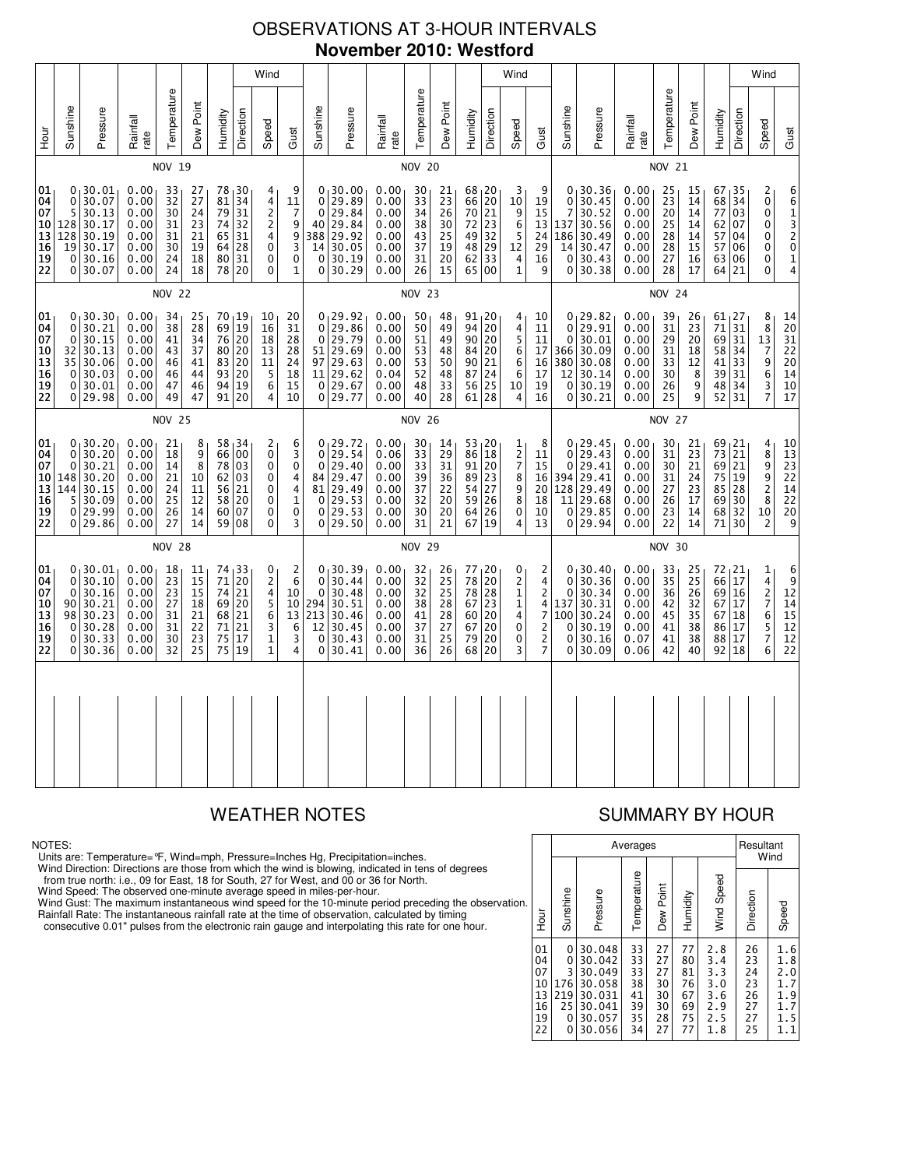## OBSERVATIONS AT 3-HOUR INTERVALS **November 2010: Westford**

|                                              |                                                      |                                                                          |                                                              |  |                                              |                                                           |                                                  |                                                           | Wind                                                                                        |                                                                                                 |                                                |                                                                            |                                                              |                                              |                                                           |                                                               | Wind                                                                                      |                                                                   |                                                   |                                             |                                                                                         |                                                              |                                              |                                              |                                                                       |                                   | Wind                                                                                                                 |                                                                                                           |
|----------------------------------------------|------------------------------------------------------|--------------------------------------------------------------------------|--------------------------------------------------------------|--|----------------------------------------------|-----------------------------------------------------------|--------------------------------------------------|-----------------------------------------------------------|---------------------------------------------------------------------------------------------|-------------------------------------------------------------------------------------------------|------------------------------------------------|----------------------------------------------------------------------------|--------------------------------------------------------------|----------------------------------------------|-----------------------------------------------------------|---------------------------------------------------------------|-------------------------------------------------------------------------------------------|-------------------------------------------------------------------|---------------------------------------------------|---------------------------------------------|-----------------------------------------------------------------------------------------|--------------------------------------------------------------|----------------------------------------------|----------------------------------------------|-----------------------------------------------------------------------|-----------------------------------|----------------------------------------------------------------------------------------------------------------------|-----------------------------------------------------------------------------------------------------------|
| ур<br>Д                                      | Sunshine                                             | Pressure                                                                 | Rainfall<br>rate                                             |  | Temperature                                  | Dew Point                                                 | Humidity                                         | Direction                                                 | Speed                                                                                       | Gust                                                                                            | Sunshine                                       | Pressure                                                                   | Rainfall<br>rate                                             | Temperature                                  | Dew Point                                                 | Humidity                                                      | Direction                                                                                 | Speed                                                             | Gust                                              | Sunshine                                    | Pressure                                                                                | Rainfall<br>rate                                             | Temperature                                  | Dew Point                                    | Humidity                                                              | Direction                         | Speed                                                                                                                | Gust                                                                                                      |
|                                              |                                                      |                                                                          |                                                              |  | NOV 19                                       |                                                           |                                                  |                                                           |                                                                                             |                                                                                                 |                                                |                                                                            |                                                              | <b>NOV 20</b>                                |                                                           |                                                               |                                                                                           |                                                                   |                                                   |                                             |                                                                                         |                                                              | NOV 21                                       |                                              |                                                                       |                                   |                                                                                                                      |                                                                                                           |
| 01<br>04<br>07<br>10<br>13<br>16<br>19<br>22 | 0<br>5<br>128<br>128<br>19<br>0<br>0                 | 0, 30.01<br>30.07<br>30.13<br>30.17<br>30.19<br>30.17<br>30.16<br>30.07  | 0.00<br>0.00<br>0.00<br>0.00<br>0.00<br>0.00<br>0.00<br>0.00 |  | 33<br>32<br>30<br>31<br>31<br>30<br>24<br>24 | 27<br>27<br>24<br>23<br>21<br>19<br>18<br>18              | 78, 30<br>81<br>79<br>74<br>65<br>64<br>80<br>78 | 34<br>31<br>32<br>31<br>28<br>31<br>20                    | 4<br>4<br>$\overline{2}$<br>$\overline{c}$<br>4<br>$\mathbf 0$<br>$\pmb{0}$<br>0            | 9<br>$\begin{array}{c} 11 \\ 7 \end{array}$<br>9<br>$\frac{9}{3}$<br>$\mathbf 0$<br>$\mathbf 1$ | 0<br>0<br>40<br>388<br>14<br>0                 | 0.30.00<br>29.89<br>29.84<br>29.84<br>29.92<br>30.05<br>30.19<br>0 30.29   | 0.00<br>0.00<br>0.00<br>0.00<br>0.00<br>0.00<br>0.00<br>0.00 | 30<br>33<br>34<br>38<br>43<br>37<br>31<br>26 | 21<br>23<br>26<br>30<br>25<br>19<br>20<br>15              | 68, 20<br>66<br>$\overline{70}$<br>72<br>49<br>48<br>62<br>65 | $\begin{array}{c} 20 \\ 21 \end{array}$<br>23<br>$\frac{32}{29}$<br>$\overline{33}$<br>00 | 3<br>10<br>9<br>6<br>5<br>12<br>4<br>$\mathbf 1$                  | 9<br>19<br>15<br>13<br>24<br>29<br>16<br>9        | 0<br>7<br>137<br>186<br>14<br>$\Omega$<br>0 | 0, 30.36<br>30.45<br>30.52<br>30.56<br>30.49<br>30.47<br>30.43<br>30.38                 | 0.00<br>0.00<br>0.00<br>0.00<br>0.00<br>0.00<br>0.00<br>0.00 | 25<br>23<br>20<br>25<br>28<br>28<br>27<br>28 | 15<br>14<br>14<br>14<br>14<br>15<br>16<br>17 | 67 <sub>1</sub> 35<br>68 34<br>77<br>62<br>57<br>57 06<br>63 06<br>64 | 03<br> 07<br>04<br>21             | 2<br>$_{0}^{0}$<br>$\mathbf 0$<br>0<br>0<br>0<br>0                                                                   | 661320<br>$\frac{1}{4}$                                                                                   |
|                                              | <b>NOV 22</b>                                        |                                                                          |                                                              |  |                                              |                                                           |                                                  |                                                           | <b>NOV 23</b>                                                                               |                                                                                                 |                                                |                                                                            |                                                              |                                              |                                                           |                                                               |                                                                                           |                                                                   | <b>NOV 24</b>                                     |                                             |                                                                                         |                                                              |                                              |                                              |                                                                       |                                   |                                                                                                                      |                                                                                                           |
| 01<br>04<br>07<br>10<br>13<br>16<br>19<br>22 | 0<br>0<br>0<br>32<br>35<br>$\Omega$<br>0<br>0        | 30.30<br>30.21<br>30.15<br>30.13<br>30.06<br>30.03<br>30.01<br>29.98     | 0.00<br>0.00<br>0.00<br>0.00<br>0.00<br>0.00<br>0.00<br>0.00 |  | 34<br>38<br>41<br>43<br>46<br>46<br>47<br>49 | 25<br>$\overline{28}$<br>34<br>37<br>41<br>44<br>46<br>47 | 70, 19<br>69<br>76<br>80<br>83<br>93<br>94<br>91 | $\overline{19}$<br>20<br>20<br>20<br>20<br>19<br>20       | 10<br>16<br>18<br>13<br>11<br>5<br>6<br>4                                                   | 20<br>31<br>28<br>28<br>24<br>18<br>15<br>10                                                    | 0<br>$\mathbf 0$<br>51<br>97<br>11<br>0        | 0, 29.92<br>29.86<br>29.79<br>29.69<br>29.63<br>29.62<br>29.67<br>0 29.77  | 0.00<br>0.00<br>0.00<br>0.00<br>0.00<br>0.04<br>0.00<br>0.00 | 50<br>50<br>51<br>53<br>53<br>52<br>48<br>40 | 48<br>49<br>49<br>48<br>50<br>48<br>33<br>28              | $91_120$<br>94<br>90<br>84<br>90<br>87<br>56<br>61            | $\overline{20}$<br>20<br>20<br>21<br>24<br>25<br>28                                       | 4<br>4<br>5<br>6<br>6<br>6<br>10<br>4                             | 10<br>11<br>11<br>17<br>16<br>17<br>19<br>16      | 0<br>0<br>366<br>380<br>12<br>$\Omega$<br>0 | 0, 29.82<br>29.91<br>30.01<br>30.09<br>30.08<br>30.14<br>30.19<br>30.21                 | 0.00<br>0.00<br>0.00<br>0.00<br>0.00<br>0.00<br>0.00<br>0.00 | 39<br>31<br>29<br>31<br>33<br>30<br>26<br>25 | 26<br>23<br>20<br>18<br>12<br>8<br>9<br>9    | $61_127$<br>71<br>69 31<br>58 <br>41<br>39 31<br>48 34<br>52          | $\overline{31}$<br>34<br>33<br>31 | $\begin{smallmatrix}8\8\end{smallmatrix}$<br>13<br>$\begin{array}{c} 7 \\ 9 \end{array}$<br>6<br>3<br>$\overline{7}$ | $\begin{array}{c} 14 \\ 20 \end{array}$<br>31<br>22<br>20<br>14<br>10<br>17                               |
|                                              |                                                      |                                                                          |                                                              |  | <b>NOV 25</b>                                |                                                           |                                                  |                                                           |                                                                                             |                                                                                                 |                                                |                                                                            |                                                              | <b>NOV 26</b>                                |                                                           |                                                               |                                                                                           |                                                                   |                                                   |                                             |                                                                                         |                                                              | <b>NOV 27</b>                                |                                              |                                                                       |                                   |                                                                                                                      |                                                                                                           |
| 01<br>04<br>07<br>10<br>13<br>16<br>19<br>22 | 0<br>0<br>148<br>144<br>5<br>0<br>0                  | 0, 30, 20<br>30.20<br>30.21<br>30.20<br>30.15<br>30.09<br>29.99<br>29.86 | 0.00<br>0.00<br>0.00<br>0.00<br>0.00<br>0.00<br>0.00<br>0.00 |  | 21<br>18<br>14<br>21<br>24<br>25<br>26<br>27 | 8<br>9<br>8<br>10<br>11<br>12<br>14<br>14                 | 66<br>78<br>62<br>56<br>58<br>60 07<br>59 08     | 58, 34<br>00<br>03<br>03<br>21<br>20                      | 2<br>0<br>$\mathbf 0$<br>0<br>0<br>0<br>0<br>$\mathbf 0$                                    | 6<br>$_0^3$<br>$\overline{\mathbf{4}}$<br>$\frac{4}{1}$<br>$\pmb{0}$<br>3                       | 0<br>0<br>81<br>0<br>0<br>0                    | 0, 29.72<br>29.54<br>29.40<br>84 29.47<br>29.49<br>29.53<br>29.53<br>29.50 | 0.00<br>0.06<br>0.00<br>0.00<br>0.00<br>0.00<br>0.00<br>0.00 | 30<br>33<br>33<br>39<br>37<br>32<br>30<br>31 | 14<br>29<br>31<br>36<br>22<br>20<br>20<br>21              | 53 20<br>86<br>91<br>89<br>54<br>59<br>64<br>67               | 18<br>20<br>23<br>$\begin{array}{c} 27 \\ 26 \end{array}$<br>26<br>19                     | 1<br>$\frac{2}{7}$<br>8<br>9<br>8<br>0<br>4                       | 8<br>11<br>15<br>16<br>20<br>18<br>10<br>13       | 0<br>0<br>394<br>128<br>11<br>$\mathbf{0}$  | 0 <sub>1</sub> 29.45<br>29.43<br>29.41<br>29.41<br>29.49<br>29.68<br>29.85<br>$0$ 29.94 | 0.00<br>0.00<br>0.00<br>0.00<br>0.00<br>0.00<br>0.00<br>0.00 | 30<br>31<br>30<br>31<br>27<br>26<br>23<br>22 | 21<br>23<br>21<br>24<br>23<br>17<br>14<br>14 | 69, 21<br>73 21<br>69<br>75 19<br>85 28<br>69<br>68 32<br>71 30       | 21<br>30                          | 4<br>8<br>9<br>$\begin{array}{c} 9 \\ 2 \\ 8 \end{array}$<br>10<br>$\overline{c}$                                    | 10<br>$\begin{array}{c} 13 \\ 23 \end{array}$<br>$\overline{2}2$<br>$\frac{1}{2}$<br>$\overline{20}$<br>9 |
|                                              |                                                      |                                                                          |                                                              |  | <b>NOV 28</b>                                |                                                           |                                                  |                                                           |                                                                                             |                                                                                                 |                                                |                                                                            |                                                              | <b>NOV 29</b>                                |                                                           |                                                               |                                                                                           |                                                                   |                                                   |                                             |                                                                                         |                                                              | <b>NOV 30</b>                                |                                              |                                                                       |                                   |                                                                                                                      |                                                                                                           |
| 01<br>04<br>07<br>10<br>13<br>16<br>19<br>22 | 0<br>0<br>$\Omega$<br>90<br>98<br>$\Omega$<br>0<br>0 | 30.01<br>30.10<br>30.16<br>30.21<br>30.23<br>30.28<br>30.33<br>30.36     | 0.00<br>0.00<br>0.00<br>0.00<br>0.00<br>0.00<br>0.00<br>0.00 |  | 18<br>23<br>23<br>27<br>31<br>31<br>30<br>32 | 11<br>15<br>15<br>18<br>21<br>22<br>23<br>25              | 74<br>71<br>74<br>69<br>68<br>71<br>75<br>75     | 33<br>$\overline{20}$<br>21<br>20<br>21<br>21<br>17<br>19 | 0<br>$\overline{2}$<br>$\overline{4}$<br>$\frac{5}{6}$<br>3<br>$\mathbf{1}$<br>$\mathbf{1}$ | $\begin{array}{c} 2 \\ 6 \end{array}$<br>10<br>10<br>13<br>6<br>3<br>4                          | 0<br>$\mathbf 0$<br>294<br>213<br>12<br>0<br>0 | 0, 30.39<br>30.44<br>30.48<br>30.51<br>30.46<br>30.45<br>30.43<br>30.41    | 0.00<br>0.00<br>0.00<br>0.00<br>0.00<br>0.00<br>0.00<br>0.00 | 32<br>32<br>32<br>38<br>41<br>37<br>31<br>36 | 26<br>$\overline{25}$<br>25<br>28<br>28<br>27<br>25<br>26 | 77<br>78<br>78<br>67<br>60<br>67<br>79<br>68                  | 20<br>$\overline{20}$<br>28<br>23<br>20<br>20<br>20<br>20                                 | 0<br>$\mathsf{2}$<br>$\mathbf{1}$<br>$\frac{1}{4}$<br>0<br>0<br>3 | 2<br>4<br>2<br>4<br>$\overline{7}$<br>2<br>2<br>7 | 0<br>0<br>0<br>137<br>100<br>0<br>0<br>0    | 30.40<br>30.36<br>30.34<br>30.31<br>30.24<br>30.19<br>30.16<br>30.09                    | 0.00<br>0.00<br>0.00<br>0.00<br>0.00<br>0.00<br>0.07<br>0.06 | 33<br>35<br>36<br>42<br>45<br>41<br>41<br>42 | 25<br>25<br>26<br>32<br>35<br>38<br>38<br>40 | 72, 21<br>66 17<br>69 16<br>67<br>67 18<br>86<br>88<br>92             | 17<br>17<br>17<br>18              | 1<br>$\frac{4}{2}$<br>76<br>5<br>$\overline{7}$<br>6                                                                 | $\begin{array}{c} 6 \\ 9 \\ 12 \end{array}$<br>$\begin{array}{c} 14 \\ 15 \end{array}$<br>12<br>12<br>22  |
|                                              |                                                      |                                                                          |                                                              |  |                                              |                                                           |                                                  |                                                           |                                                                                             |                                                                                                 |                                                |                                                                            |                                                              |                                              |                                                           |                                                               |                                                                                           |                                                                   |                                                   |                                             |                                                                                         |                                                              |                                              |                                              |                                                                       |                                   |                                                                                                                      |                                                                                                           |

### NOTES:

Units are: Temperature=°F, Wind=mph, Pressure=Inches Hg, Precipitation=inches.

Wind Direction: Directions are those from which the wind is blowing, indicated in tens of degrees<br>from true north: i.e., 09 for East, 18 for South, 27 for West, and 00 or 36 for North.<br>Wind Speed: The observed one-minute a

Wind Gust: The maximum instantaneous wind speed for the 10-minute period preceding the observation Rainfall Rate: The instantaneous rainfall rate at the time of observation, calculated by timing

consecutive 0.01" pulses from the electronic rain gauge and interpolating this rate for one hour.

# WEATHER NOTES SUMMARY BY HOUR

|    |                                              |                                           |                                                                              | Averages                                     |                                              |                                              |                                                      | Resultant                                    | Wind                                                 |
|----|----------------------------------------------|-------------------------------------------|------------------------------------------------------------------------------|----------------------------------------------|----------------------------------------------|----------------------------------------------|------------------------------------------------------|----------------------------------------------|------------------------------------------------------|
| n. | Hour                                         | Sunshine                                  | Pressure                                                                     | Temperature                                  | Dew Point                                    | Humidity                                     | Wind Speed                                           | Direction                                    | Speed                                                |
|    | 01<br>04<br>07<br>10<br>13<br>16<br>19<br>22 | 0<br>0<br>3<br>176<br>219<br>25<br>0<br>0 | 30.048<br>30.042<br>30.049<br>30.058<br>30.031<br>30.041<br>30.057<br>30.056 | 33<br>33<br>33<br>38<br>41<br>39<br>35<br>34 | 27<br>27<br>27<br>30<br>30<br>30<br>28<br>27 | 77<br>80<br>81<br>76<br>67<br>69<br>75<br>77 | 2.8<br>3.4<br>3.3<br>3.0<br>3.6<br>2.9<br>2.5<br>1.8 | 26<br>23<br>24<br>23<br>26<br>27<br>27<br>25 | 1.6<br>1.8<br>2.0<br>1.7<br>1.9<br>1.7<br>1.5<br>1.1 |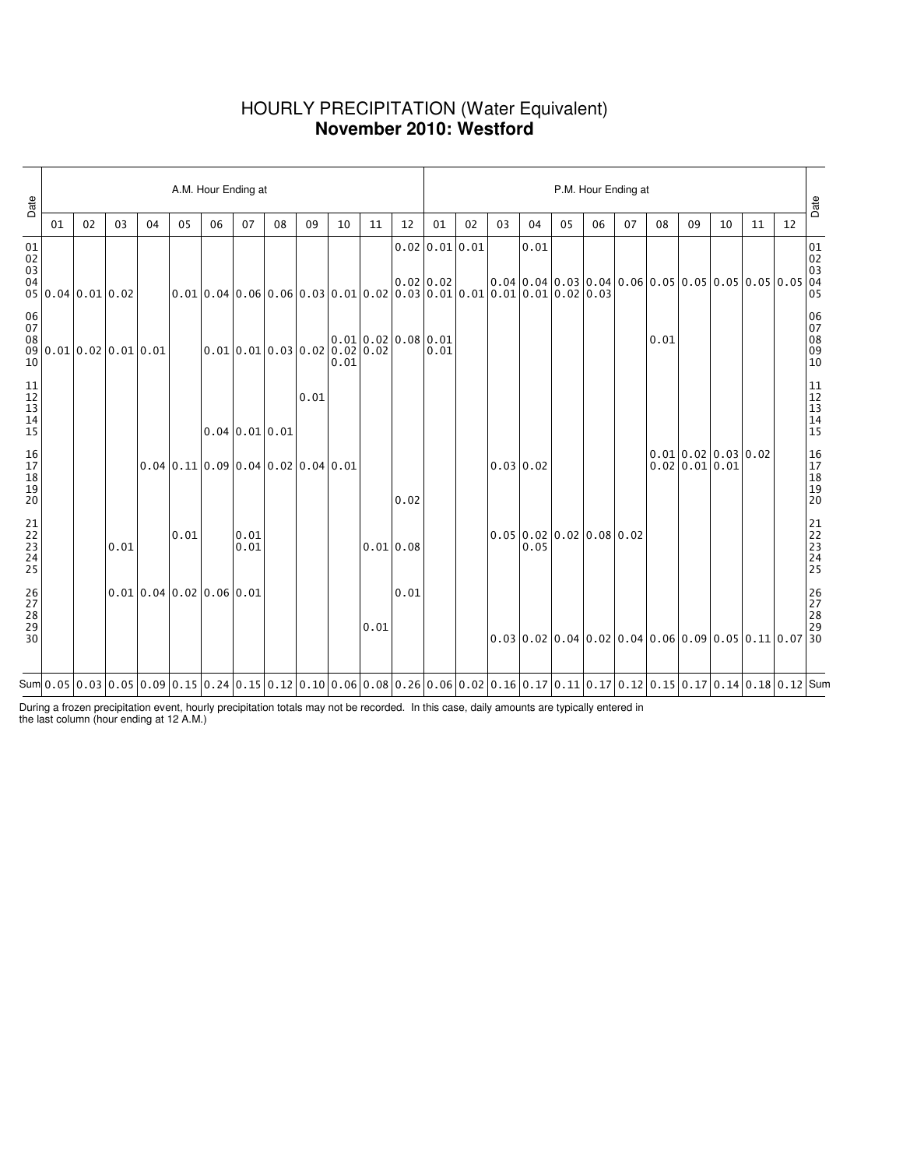### HOURLY PRECIPITATION (Water Equivalent) **November 2010: Westford**

| Date                                                      |                                                                 |    |      |                                                                                                                                                                                                                                                                                                                                                              |      | A.M. Hour Ending at                                                |                                 |    |      |      |                     | P.M. Hour Ending at |                |    |           |      |                          |    |    |      |                                                        |    |    |    |                                                            |
|-----------------------------------------------------------|-----------------------------------------------------------------|----|------|--------------------------------------------------------------------------------------------------------------------------------------------------------------------------------------------------------------------------------------------------------------------------------------------------------------------------------------------------------------|------|--------------------------------------------------------------------|---------------------------------|----|------|------|---------------------|---------------------|----------------|----|-----------|------|--------------------------|----|----|------|--------------------------------------------------------|----|----|----|------------------------------------------------------------|
|                                                           | 01                                                              | 02 | 03   | 04                                                                                                                                                                                                                                                                                                                                                           | 05   | 06                                                                 | 07                              | 08 | 09   | 10   | 11                  | 12                  | 01             | 02 | 03        | 04   | 05                       | 06 | 07 | 08   | 09                                                     | 10 | 11 | 12 | Date                                                       |
| 01<br>02<br>03<br>04                                      | 05 0.04 0.01 0.02                                               |    |      |                                                                                                                                                                                                                                                                                                                                                              |      |                                                                    |                                 |    |      |      |                     |                     | 0.02 0.01 0.01 |    |           | 0.01 |                          |    |    |      | $0.04 0.04 0.03 0.04 0.06 0.05 0.05 0.05 0.05 0.05$    |    |    |    | $\begin{bmatrix} 01 \\ 02 \\ 03 \\ 04 \\ 05 \end{bmatrix}$ |
| $\begin{array}{c} 06 \\ 07 \end{array}$<br>10             | $\begin{array}{c c} 08 & 0.01 & 0.02 & 0.01 & 0.01 \end{array}$ |    |      |                                                                                                                                                                                                                                                                                                                                                              |      |                                                                    | $0.01$ 0.01 0.03 0.02 0.02 0.02 |    |      | 0.01 | 0.01 0.02 0.08 0.01 |                     | 0.01           |    |           |      |                          |    |    | 0.01 |                                                        |    |    |    | 06<br>07<br>08<br>09<br>09<br>10                           |
| $\begin{array}{c} 11 \\ 12 \\ 13 \\ 14 \end{array}$<br>15 |                                                                 |    |      |                                                                                                                                                                                                                                                                                                                                                              |      |                                                                    | $0.04 \, 0.01 \, 0.01$          |    | 0.01 |      |                     |                     |                |    |           |      |                          |    |    |      |                                                        |    |    |    | 11<br>12<br>13<br>14<br>15                                 |
| 16<br>17<br>18<br>19<br>19<br>20                          |                                                                 |    |      |                                                                                                                                                                                                                                                                                                                                                              |      | $0.04 \mid 0.11 \mid 0.09 \mid 0.04 \mid 0.02 \mid 0.04 \mid 0.01$ |                                 |    |      |      |                     | 0.02                |                |    | 0.03 0.02 |      |                          |    |    |      | $0.01$ 0.02 0.03 0.02<br>0.02 0.01 0.01                |    |    |    | 16<br>17<br>18<br>19<br>19<br>20                           |
| 21<br>22<br>23<br>24<br>24<br>25                          |                                                                 |    | 0.01 |                                                                                                                                                                                                                                                                                                                                                              | 0.01 |                                                                    | 0.01<br>0.01                    |    |      |      |                     | $0.01$ 0.08         |                |    |           | 0.05 | 0.05 0.02 0.02 0.08 0.02 |    |    |      |                                                        |    |    |    | 21<br>22<br>23<br>24<br>24<br>25                           |
| 26<br>27<br>28<br>29<br>30                                |                                                                 |    |      | 0.01 0.04 0.02 0.06 0.01                                                                                                                                                                                                                                                                                                                                     |      |                                                                    |                                 |    |      |      | 0.01                | 0.01                |                |    |           |      |                          |    |    |      | $0.03 0.02 0.04 0.02 0.04 0.06 0.09 0.05 0.11 0.07 30$ |    |    |    | 26<br>27<br>28<br>29                                       |
|                                                           |                                                                 |    |      | Sum $\vert 0.05 \vert 0.03 \vert 0.05 \vert 0.09 \vert 0.15 \vert 0.24 \vert 0.15 \vert 0.12 \vert 0.10 \vert 0.06 \vert 0.08 \vert 0.26 \vert 0.06 \vert 0.02 \vert 0.16 \vert 0.17 \vert 0.11 \vert 0.17 \vert 0.12 \vert 0.15 \vert 0.17 \vert 0.19 \vert 0.19 \vert 0.19 \vert 0.18 \vert 0.12 \vert 0.19 \vert 0.19 \vert 0.19 \vert 0.19 \vert 0.19 \$ |      |                                                                    |                                 |    |      |      |                     |                     |                |    |           |      |                          |    |    |      |                                                        |    |    |    |                                                            |

During a frozen precipitation event, hourly precipitation totals may not be recorded. In this case, daily amounts are typically entered in the last column (hour ending at 12 A.M.)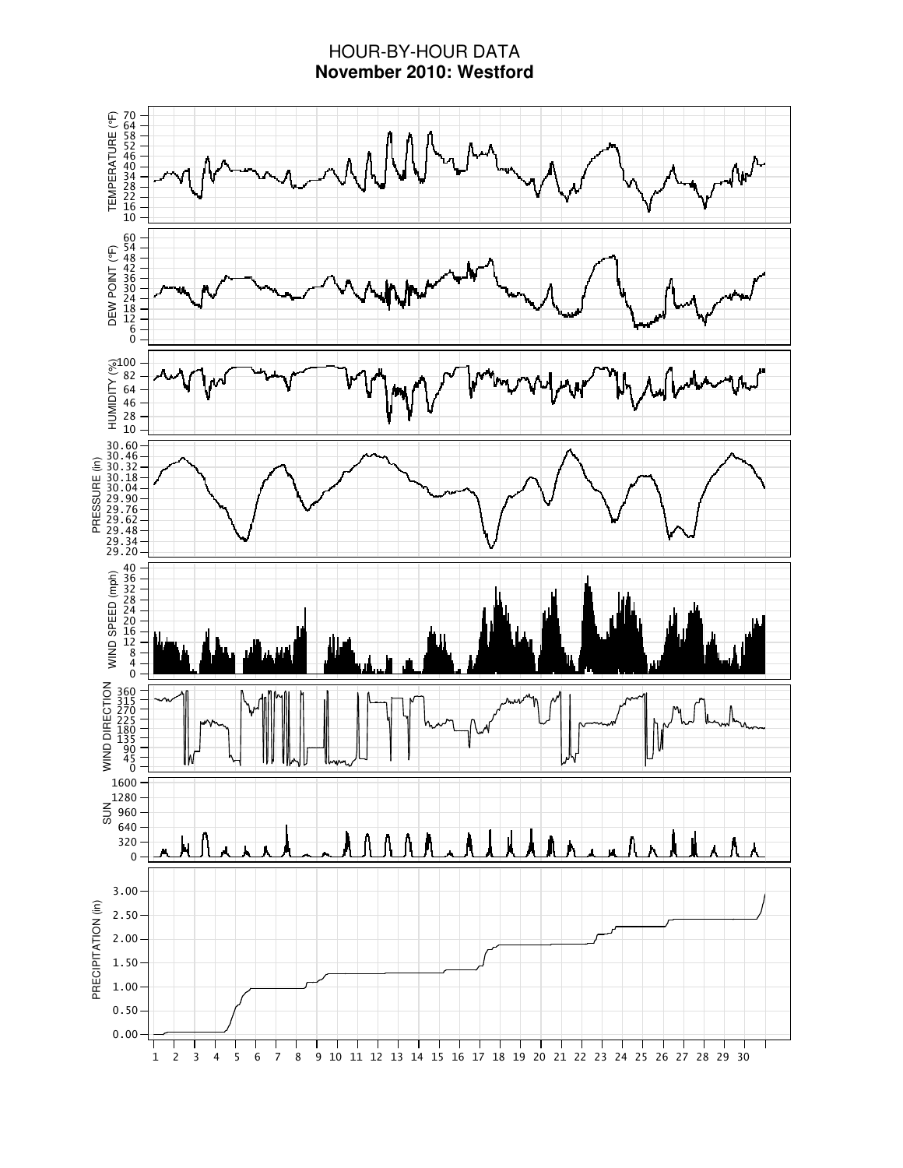### HOUR-BY-HOUR DATA **November 2010: Westford**